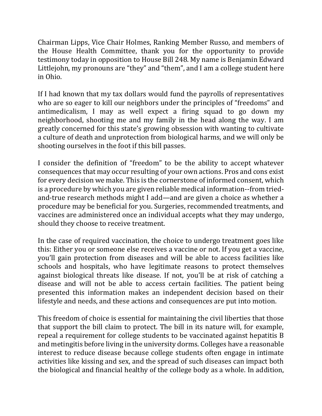Chairman Lipps, Vice Chair Holmes, Ranking Member Russo, and members of the House Health Committee, thank you for the opportunity to provide testimony today in opposition to House Bill 248. My name is Benjamin Edward Littlejohn, my pronouns are "they" and "them", and I am a college student here in Ohio.

If I had known that my tax dollars would fund the payrolls of representatives who are so eager to kill our neighbors under the principles of "freedoms" and antimedicalism, I may as well expect a firing squad to go down my neighborhood, shooting me and my family in the head along the way. I am greatly concerned for this state's growing obsession with wanting to cultivate a culture of death and unprotection from biological harms, and we will only be shooting ourselves in the foot if this bill passes.

I consider the definition of "freedom" to be the ability to accept whatever consequences that may occur resulting of your own actions. Pros and cons exist for every decision we make. This is the cornerstone of informed consent, which is a procedure by which you are given reliable medical information--from triedand-true research methods might I add—and are given a choice as whether a procedure may be beneficial for you. Surgeries, recommended treatments, and vaccines are administered once an individual accepts what they may undergo, should they choose to receive treatment.

In the case of required vaccination, the choice to undergo treatment goes like this: Either you or someone else receives a vaccine or not. If you get a vaccine, you'll gain protection from diseases and will be able to access facilities like schools and hospitals, who have legitimate reasons to protect themselves against biological threats like disease. If not, you'll be at risk of catching a disease and will not be able to access certain facilities. The patient being presented this information makes an independent decision based on their lifestyle and needs, and these actions and consequences are put into motion.

This freedom of choice is essential for maintaining the civil liberties that those that support the bill claim to protect. The bill in its nature will, for example, repeal a requirement for college students to be vaccinated against hepatitis B and metingitis before living in the university dorms. Colleges have a reasonable interest to reduce disease because college students often engage in intimate activities like kissing and sex, and the spread of such diseases can impact both the biological and financial healthy of the college body as a whole. In addition,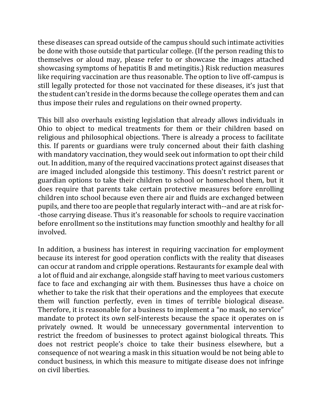these diseases can spread outside of the campus should such intimate activities be done with those outside that particular college. (If the person reading this to themselves or aloud may, please refer to or showcase the images attached showcasing symptoms of hepatitis B and metingitis.) Risk reduction measures like requiring vaccination are thus reasonable. The option to live off-campus is still legally protected for those not vaccinated for these diseases, it's just that the student can't reside in the dorms because the college operates them and can thus impose their rules and regulations on their owned property.

This bill also overhauls existing legislation that already allows individuals in Ohio to object to medical treatments for them or their children based on religious and philosophical objections. There is already a process to facilitate this. If parents or guardians were truly concerned about their faith clashing with mandatory vaccination, they would seek out information to opt their child out. In addition, many of the required vaccinations protect against diseases that are imaged included alongside this testimony. This doesn't restrict parent or guardian options to take their children to school or homeschool them, but it does require that parents take certain protective measures before enrolling children into school because even there air and fluids are exchanged between pupils, and there too are people that regularly interact with--and are at risk for- -those carrying disease. Thus it's reasonable for schools to require vaccination before enrollment so the institutions may function smoothly and healthy for all involved.

In addition, a business has interest in requiring vaccination for employment because its interest for good operation conflicts with the reality that diseases can occur at random and cripple operations. Restaurants for example deal with a lot of fluid and air exchange, alongside staff having to meet various customers face to face and exchanging air with them. Businesses thus have a choice on whether to take the risk that their operations and the employees that execute them will function perfectly, even in times of terrible biological disease. Therefore, it is reasonable for a business to implement a "no mask, no service" mandate to protect its own self-interests because the space it operates on is privately owned. It would be unnecessary governmental intervention to restrict the freedom of businesses to protect against biological threats. This does not restrict people's choice to take their business elsewhere, but a consequence of not wearing a mask in this situation would be not being able to conduct business, in which this measure to mitigate disease does not infringe on civil liberties.